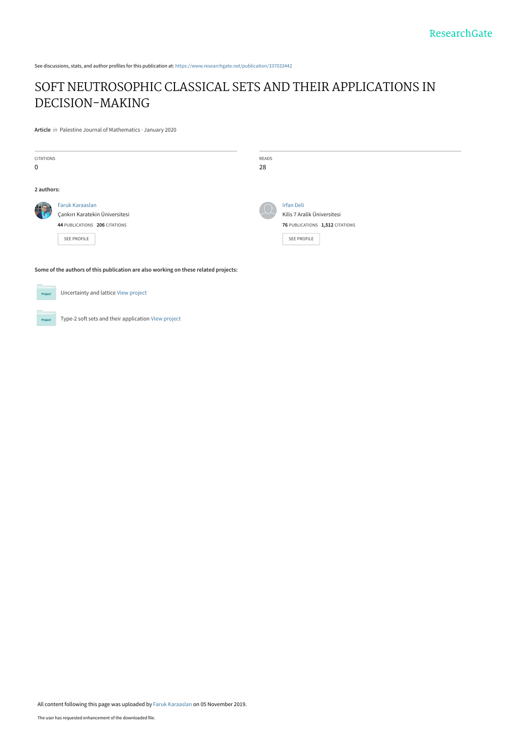See discussions, stats, and author profiles for this publication at: [https://www.researchgate.net/publication/337033442](https://www.researchgate.net/publication/337033442_SOFT_NEUTROSOPHIC_CLASSICAL_SETS_AND_THEIR_APPLICATIONS_IN_DECISION-MAKING?enrichId=rgreq-335d85d431560b7fb56030d33429bcf2-XXX&enrichSource=Y292ZXJQYWdlOzMzNzAzMzQ0MjtBUzo4MjE5ODU4MTQ4MDI0MzJAMTU3Mjk4ODA5ODEwOQ%3D%3D&el=1_x_2&_esc=publicationCoverPdf)

# [SOFT NEUTROSOPHIC CLASSICAL SETS AND THEIR APPLICATIONS IN](https://www.researchgate.net/publication/337033442_SOFT_NEUTROSOPHIC_CLASSICAL_SETS_AND_THEIR_APPLICATIONS_IN_DECISION-MAKING?enrichId=rgreq-335d85d431560b7fb56030d33429bcf2-XXX&enrichSource=Y292ZXJQYWdlOzMzNzAzMzQ0MjtBUzo4MjE5ODU4MTQ4MDI0MzJAMTU3Mjk4ODA5ODEwOQ%3D%3D&el=1_x_3&_esc=publicationCoverPdf) DECISION-MAKING

**Article** in Palestine Journal of Mathematics · January 2020

| <b>CITATIONS</b><br>0                                                                                                       |                                                                                                          | READS<br>28 |                                                                                                    |
|-----------------------------------------------------------------------------------------------------------------------------|----------------------------------------------------------------------------------------------------------|-------------|----------------------------------------------------------------------------------------------------|
| 2 authors:                                                                                                                  |                                                                                                          |             |                                                                                                    |
|                                                                                                                             | Faruk Karaaslan<br>Çankırı Karatekin Üniversitesi<br>44 PUBLICATIONS 206 CITATIONS<br><b>SEE PROFILE</b> |             | <b>Irfan Deli</b><br>Kilis 7 Aralik Üniversitesi<br>76 PUBLICATIONS 1,512 CITATIONS<br>SEE PROFILE |
| Some of the authors of this publication are also working on these related projects:<br>Uncertainty and lattice View project |                                                                                                          |             |                                                                                                    |

**Project** Type-2 soft sets and their application [View project](https://www.researchgate.net/project/Type-2-soft-sets-and-their-application?enrichId=rgreq-335d85d431560b7fb56030d33429bcf2-XXX&enrichSource=Y292ZXJQYWdlOzMzNzAzMzQ0MjtBUzo4MjE5ODU4MTQ4MDI0MzJAMTU3Mjk4ODA5ODEwOQ%3D%3D&el=1_x_9&_esc=publicationCoverPdf)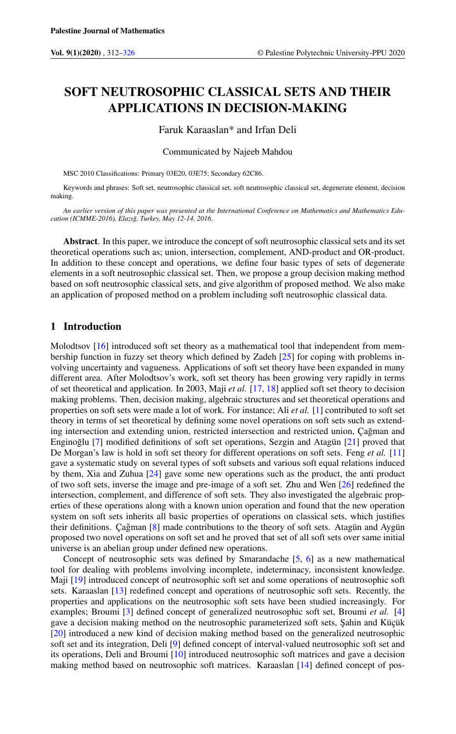## SOFT NEUTROSOPHIC CLASSICAL SETS AND THEIR APPLICATIONS IN DECISION-MAKING

Faruk Karaaslan\* and Irfan Deli

Communicated by Najeeb Mahdou

MSC 2010 Classifications: Primary 03E20, 03E75; Secondary 62C86.

Keywords and phrases: Soft set, neutrosophic classical set, soft neutrosophic classical set, degenerate element, decision making.

*An earlier version of this paper was presented at the International Conference on Mathematics and Mathematics Education (ICMME-2016), Elazı ˘g, Turkey, May 12-14, 2016*.

Abstract. In this paper, we introduce the concept of soft neutrosophic classical sets and its set theoretical operations such as; union, intersection, complement, AND-product and OR-product. In addition to these concept and operations, we define four basic types of sets of degenerate elements in a soft neutrosophic classical set. Then, we propose a group decision making method based on soft neutrosophic classical sets, and give algorithm of proposed method. We also make an application of proposed method on a problem including soft neutrosophic classical data.

#### 1 Introduction

Molodtsov [\[16\]](#page-15-1) introduced soft set theory as a mathematical tool that independent from membership function in fuzzy set theory which defined by Zadeh [\[25\]](#page-15-2) for coping with problems involving uncertainty and vagueness. Applications of soft set theory have been expanded in many different area. After Molodtsov's work, soft set theory has been growing very rapidly in terms of set theoretical and application. In 2003, Maji *et al.* [\[17,](#page-15-3) [18\]](#page-15-4) applied soft set theory to decision making problems. Then, decision making, algebraic structures and set theoretical operations and properties on soft sets were made a lot of work. For instance; Ali *et al.* [\[1\]](#page-15-5) contributed to soft set theory in terms of set theoretical by defining some novel operations on soft sets such as extending intersection and extending union, restricted intersection and restricted union, Çağman and Enginoğlu [[7\]](#page-15-6) modified definitions of soft set operations, Sezgin and Atagün [\[21\]](#page-15-7) proved that De Morgan's law is hold in soft set theory for different operations on soft sets. Feng *et al.* [\[11\]](#page-15-8) gave a systematic study on several types of soft subsets and various soft equal relations induced by them, Xia and Zuhua [\[24\]](#page-15-9) gave some new operations such as the product, the anti product of two soft sets, inverse the image and pre-image of a soft set. Zhu and Wen [\[26\]](#page-15-10) redefined the intersection, complement, and difference of soft sets. They also investigated the algebraic properties of these operations along with a known union operation and found that the new operation system on soft sets inherits all basic properties of operations on classical sets, which justifies their definitions. Çağman [[8\]](#page-15-11) made contributions to the theory of soft sets. Atagün and Aygün proposed two novel operations on soft set and he proved that set of all soft sets over same initial universe is an abelian group under defined new operations.

Concept of neutrosophic sets was defined by Smarandache [\[5,](#page-15-12) [6\]](#page-15-13) as a new mathematical tool for dealing with problems involving incomplete, indeterminacy, inconsistent knowledge. Maji [\[19\]](#page-15-14) introduced concept of neutrosophic soft set and some operations of neutrosophic soft sets. Karaaslan [\[13\]](#page-15-15) redefined concept and operations of neutrosophic soft sets. Recently, the properties and applications on the neutrosophic soft sets have been studied increasingly. For examples; Broumi [\[3\]](#page-15-16) defined concept of generalized neutrosophic soft set, Broumi *et al.* [\[4\]](#page-15-17) gave a decision making method on the neutrosophic parameterized soft sets, Şahin and Küçük [\[20\]](#page-15-18) introduced a new kind of decision making method based on the generalized neutrosophic soft set and its integration, Deli [\[9\]](#page-15-19) defined concept of interval-valued neutrosophic soft set and its operations, Deli and Broumi [\[10\]](#page-15-20) introduced neutrosophic soft matrices and gave a decision making method based on neutrosophic soft matrices. Karaaslan [\[14\]](#page-15-21) defined concept of pos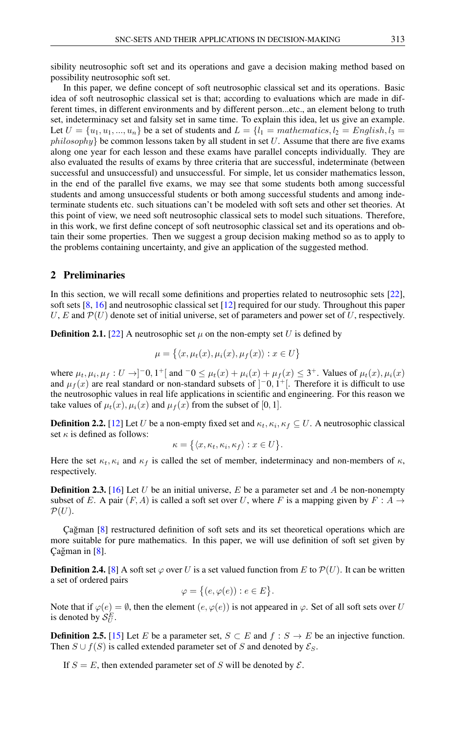sibility neutrosophic soft set and its operations and gave a decision making method based on possibility neutrosophic soft set.

In this paper, we define concept of soft neutrosophic classical set and its operations. Basic idea of soft neutrosophic classical set is that; according to evaluations which are made in different times, in different environments and by different person...etc., an element belong to truth set, indeterminacy set and falsity set in same time. To explain this idea, let us give an example. Let  $U = \{u_1, u_1, ..., u_n\}$  be a set of students and  $L = \{l_1 = mathematics, l_2 = English, l_3 = 1\}$  $philosophy$  be common lessons taken by all student in set U. Assume that there are five exams along one year for each lesson and these exams have parallel concepts individually. They are also evaluated the results of exams by three criteria that are successful, indeterminate (between successful and unsuccessful) and unsuccessful. For simple, let us consider mathematics lesson, in the end of the parallel five exams, we may see that some students both among successful students and among unsuccessful students or both among successful students and among indeterminate students etc. such situations can't be modeled with soft sets and other set theories. At this point of view, we need soft neutrosophic classical sets to model such situations. Therefore, in this work, we first define concept of soft neutrosophic classical set and its operations and obtain their some properties. Then we suggest a group decision making method so as to apply to the problems containing uncertainty, and give an application of the suggested method.

#### 2 Preliminaries

In this section, we will recall some definitions and properties related to neutrosophic sets [\[22\]](#page-15-22), soft sets [\[8,](#page-15-11) [16\]](#page-15-1) and neutrosophic classical set [\[12\]](#page-15-23) required for our study. Throughout this paper U, E and  $\mathcal{P}(U)$  denote set of initial universe, set of parameters and power set of U, respectively.

**Definition 2.1.** [\[22\]](#page-15-22) A neutrosophic set  $\mu$  on the non-empty set U is defined by

$$
\mu = \{ \langle x, \mu_t(x), \mu_i(x), \mu_f(x) \rangle : x \in U \}
$$

where  $\mu_t, \mu_i, \mu_f : U \to ]-0, 1^+[$  and  $-0 \le \mu_t(x) + \mu_i(x) + \mu_f(x) \le 3^+$ . Values of  $\mu_t(x), \mu_i(x)$ and  $\mu_f(x)$  are real standard or non-standard subsets of  $]$ <sup>-</sup>0, 1<sup>+</sup>[. Therefore it is difficult to use the neutrosophic values in real life applications in scientific and engineering. For this reason we take values of  $\mu_t(x)$ ,  $\mu_i(x)$  and  $\mu_f(x)$  from the subset of [0, 1].

**Definition 2.2.** [\[12\]](#page-15-23) Let U be a non-empty fixed set and  $\kappa_t, \kappa_i, \kappa_f \subseteq U$ . A neutrosophic classical set  $\kappa$  is defined as follows:

$$
\kappa = \big\{ \langle x, \kappa_t, \kappa_i, \kappa_f \rangle : x \in U \big\}.
$$

Here the set  $\kappa_t$ ,  $\kappa_i$  and  $\kappa_f$  is called the set of member, indeterminacy and non-members of  $\kappa$ , respectively.

**Definition 2.3.** [\[16\]](#page-15-1) Let U be an initial universe, E be a parameter set and A be non-nonempty subset of E. A pair  $(F, A)$  is called a soft set over U, where F is a mapping given by  $F : A \rightarrow$  $\mathcal{P}(U)$ .

Çağman  $[8]$  $[8]$  restructured definition of soft sets and its set theoretical operations which are more suitable for pure mathematics. In this paper, we will use definition of soft set given by Çağman in  $[8]$  $[8]$ .

**Definition 2.4.** [\[8\]](#page-15-11) A soft set  $\varphi$  over U is a set valued function from E to  $\mathcal{P}(U)$ . It can be written a set of ordered pairs

$$
\varphi = \big\{ (e, \varphi(e)) : e \in E \big\}.
$$

Note that if  $\varphi(e) = \emptyset$ , then the element  $(e, \varphi(e))$  is not appeared in  $\varphi$ . Set of all soft sets over U is denoted by  $\mathcal{S}_U^E$ .

**Definition 2.5.** [\[15\]](#page-15-24) Let E be a parameter set,  $S \subset E$  and  $f : S \to E$  be an injective function. Then  $S \cup f(S)$  is called extended parameter set of S and denoted by  $\mathcal{E}_S$ .

If  $S = E$ , then extended parameter set of S will be denoted by  $\mathcal{E}$ .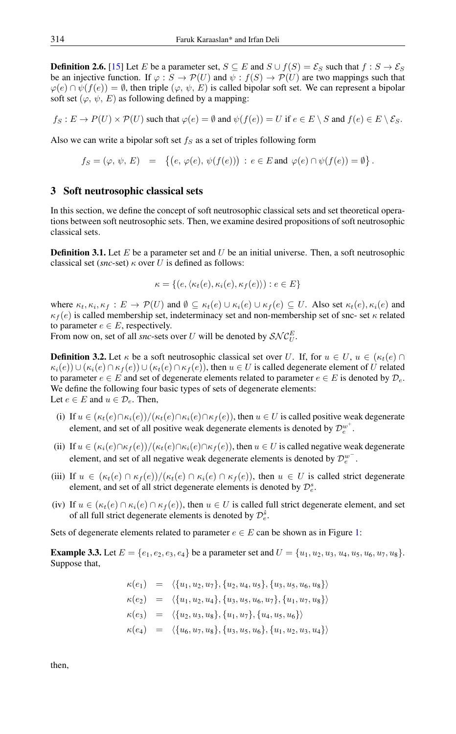**Definition 2.6.** [\[15\]](#page-15-24) Let E be a parameter set,  $S \subseteq E$  and  $S \cup f(S) = \mathcal{E}_S$  such that  $f : S \to \mathcal{E}_S$ be an injective function. If  $\varphi : S \to \mathcal{P}(U)$  and  $\psi : f(S) \to \mathcal{P}(U)$  are two mappings such that  $\varphi(e) \cap \psi(f(e)) = \emptyset$ , then triple  $(\varphi, \psi, E)$  is called bipolar soft set. We can represent a bipolar soft set  $(\varphi, \psi, E)$  as following defined by a mapping:

 $f_S : E \to P(U) \times P(U)$  such that  $\varphi(e) = \emptyset$  and  $\psi(f(e)) = U$  if  $e \in E \setminus S$  and  $f(e) \in E \setminus \mathcal{E}_S$ .

Also we can write a bipolar soft set  $f_S$  as a set of triples following form

$$
f_S = (\varphi, \psi, E) = \left\{ \big(e, \varphi(e), \psi(f(e))\big) : e \in E \text{ and } \varphi(e) \cap \psi(f(e)) = \emptyset \right\}.
$$

### 3 Soft neutrosophic classical sets

In this section, we define the concept of soft neutrosophic classical sets and set theoretical operations between soft neutrosophic sets. Then, we examine desired propositions of soft neutrosophic classical sets.

**Definition 3.1.** Let E be a parameter set and U be an initial universe. Then, a soft neutrosophic classical set (*snc*-set)  $\kappa$  over U is defined as follows:

$$
\kappa = \{(e, \langle \kappa_t(e), \kappa_i(e), \kappa_f(e) \rangle) : e \in E\}
$$

where  $\kappa_t, \kappa_i, \kappa_f : E \to \mathcal{P}(U)$  and  $\emptyset \subseteq \kappa_t(e) \cup \kappa_i(e) \cup \kappa_f(e) \subseteq U$ . Also set  $\kappa_t(e), \kappa_i(e)$  and  $\kappa_f(e)$  is called membership set, indeterminacy set and non-membership set of snc- set  $\kappa$  related to parameter  $e \in E$ , respectively.

From now on, set of all *snc*-sets over U will be denoted by  $\mathcal{SNC}_{U}^{E}$ .

**Definition 3.2.** Let  $\kappa$  be a soft neutrosophic classical set over U. If, for  $u \in U$ ,  $u \in (\kappa_t(e) \cap$  $\kappa_i(e)$ )  $\cup$   $(\kappa_i(e) \cap \kappa_f(e))$   $\cup$   $(\kappa_i(e) \cap \kappa_f(e))$ , then  $u \in U$  is called degenerate element of U related to parameter  $e \in E$  and set of degenerate elements related to parameter  $e \in E$  is denoted by  $\mathcal{D}_e$ . We define the following four basic types of sets of degenerate elements: Let  $e \in E$  and  $u \in \mathcal{D}_e$ . Then,

- (i) If  $u \in (\kappa_t(e) \cap \kappa_i(e))/(\kappa_t(e) \cap \kappa_i(e) \cap \kappa_f(e))$ , then  $u \in U$  is called positive weak degenerate element, and set of all positive weak degenerate elements is denoted by  $\mathcal{D}_e^{w^+}$ .
- (ii) If  $u \in (\kappa_i(e) \cap \kappa_f(e)) / (\kappa_f(e) \cap \kappa_f(e) \cap \kappa_f(e))$ , then  $u \in U$  is called negative weak degenerate element, and set of all negative weak degenerate elements is denoted by  $\mathcal{D}_e^{w^-}$ .
- (iii) If  $u \in (\kappa_t(e) \cap \kappa_t(e))/(\kappa_t(e) \cap \kappa_t(e) \cap \kappa_t(e))$ , then  $u \in U$  is called strict degenerate element, and set of all strict degenerate elements is denoted by  $\mathcal{D}_e^s$ .
- (iv) If  $u \in (\kappa_t(e) \cap \kappa_i(e) \cap \kappa_f(e))$ , then  $u \in U$  is called full strict degenerate element, and set of all full strict degenerate elements is denoted by  $\mathcal{D}_e^{\hat{s}}$ .

Sets of degenerate elements related to parameter  $e \in E$  can be shown as in Figure [1:](#page-4-0)

<span id="page-3-0"></span>**Example 3.3.** Let  $E = \{e_1, e_2, e_3, e_4\}$  be a parameter set and  $U = \{u_1, u_2, u_3, u_4, u_5, u_6, u_7, u_8\}$ . Suppose that,

$$
\kappa(e_1) = \langle \{u_1, u_2, u_7\}, \{u_2, u_4, u_5\}, \{u_3, u_5, u_6, u_8\} \rangle
$$
  
\n
$$
\kappa(e_2) = \langle \{u_1, u_2, u_4\}, \{u_3, u_5, u_6, u_7\}, \{u_1, u_7, u_8\} \rangle
$$
  
\n
$$
\kappa(e_3) = \langle \{u_2, u_3, u_8\}, \{u_1, u_7\}, \{u_4, u_5, u_6\} \rangle
$$
  
\n
$$
\kappa(e_4) = \langle \{u_6, u_7, u_8\}, \{u_3, u_5, u_6\}, \{u_1, u_2, u_3, u_4\} \rangle
$$

then,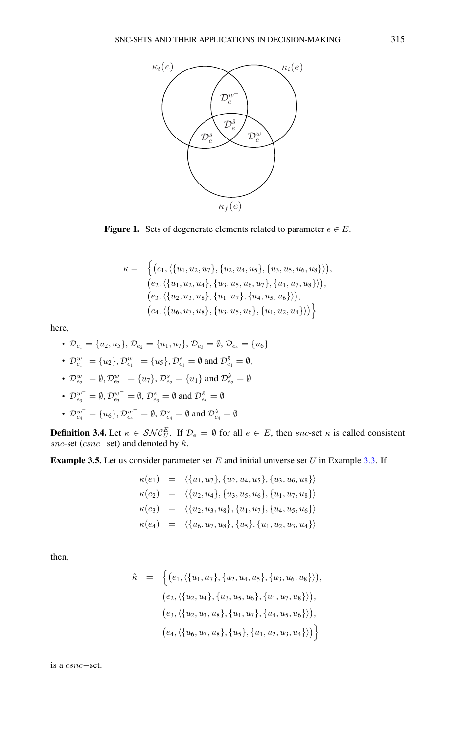

<span id="page-4-0"></span>Figure 1. Sets of degenerate elements related to parameter  $e \in E$ .

$$
\kappa = \left\{ \big( e_1, \langle \{u_1, u_2, u_7\}, \{u_2, u_4, u_5\}, \{u_3, u_5, u_6, u_8\} \rangle \big), \\ (e_2, \langle \{u_1, u_2, u_4\}, \{u_3, u_5, u_6, u_7\}, \{u_1, u_7, u_8\} \rangle \big), \\ (e_3, \langle \{u_2, u_3, u_8\}, \{u_1, u_7\}, \{u_4, u_5, u_6\} \rangle \big), \\ (e_4, \langle \{u_6, u_7, u_8\}, \{u_3, u_5, u_6\}, \{u_1, u_2, u_4\} \rangle \big) \right\}
$$

here,

• 
$$
\mathcal{D}_{e_1} = \{u_2, u_5\}, \mathcal{D}_{e_2} = \{u_1, u_7\}, \mathcal{D}_{e_3} = \emptyset, \mathcal{D}_{e_4} = \{u_6\}
$$

• 
$$
\mathcal{D}_{e_1}^{w^+} = \{u_2\}, \mathcal{D}_{e_1}^{w^-} = \{u_5\}, \mathcal{D}_{e_1}^s = \emptyset
$$
 and  $\mathcal{D}_{e_1}^s = \emptyset$ ,

• 
$$
\mathcal{D}_{e_2}^{w^+} = \emptyset
$$
,  $\mathcal{D}_{e_2}^{w^-} = \{u_7\}$ ,  $\mathcal{D}_{e_2}^s = \{u_1\}$  and  $\mathcal{D}_{e_2}^s = \emptyset$ 

• 
$$
\mathcal{D}_{e_3}^{w^+} = \emptyset
$$
,  $\mathcal{D}_{e_3}^{w^-} = \emptyset$ ,  $\mathcal{D}_{e_3}^s = \emptyset$  and  $\mathcal{D}_{e_3}^{\hat{s}} = \emptyset$ 

• 
$$
\mathcal{D}_{e_4}^{w^+} = \{u_6\}, \mathcal{D}_{e_4}^{w^-} = \emptyset, \mathcal{D}_{e_4}^s = \emptyset \text{ and } \mathcal{D}_{e_4}^{\hat{s}} = \emptyset
$$

<span id="page-4-1"></span>**Definition 3.4.** Let  $\kappa \in \mathcal{SNC}_{U}^{E}$ . If  $\mathcal{D}_{e} = \emptyset$  for all  $e \in E$ , then snc-set  $\kappa$  is called consistent snc-set (csnc−set) and denoted by  $\hat{\kappa}$ .

**Example 3.5.** Let us consider parameter set  $E$  and initial universe set  $U$  in Example [3.3.](#page-3-0) If

$$
\kappa(e_1) = \langle \{u_1, u_7\}, \{u_2, u_4, u_5\}, \{u_3, u_6, u_8\} \rangle
$$
  
\n
$$
\kappa(e_2) = \langle \{u_2, u_4\}, \{u_3, u_5, u_6\}, \{u_1, u_7, u_8\} \rangle
$$
  
\n
$$
\kappa(e_3) = \langle \{u_2, u_3, u_8\}, \{u_1, u_7\}, \{u_4, u_5, u_6\} \rangle
$$
  
\n
$$
\kappa(e_4) = \langle \{u_6, u_7, u_8\}, \{u_5\}, \{u_1, u_2, u_3, u_4\} \rangle
$$

then,

$$
\hat{\kappa} = \left\{ \left( e_1, \langle \{u_1, u_7\}, \{u_2, u_4, u_5\}, \{u_3, u_6, u_8\} \rangle \right), \\ \left( e_2, \langle \{u_2, u_4\}, \{u_3, u_5, u_6\}, \{u_1, u_7, u_8\} \rangle \right), \\ \left( e_3, \langle \{u_2, u_3, u_8\}, \{u_1, u_7\}, \{u_4, u_5, u_6\} \rangle \right), \\ \left( e_4, \langle \{u_6, u_7, u_8\}, \{u_5\}, \{u_1, u_2, u_3, u_4\} \rangle \right) \right\}
$$

is a csnc−set.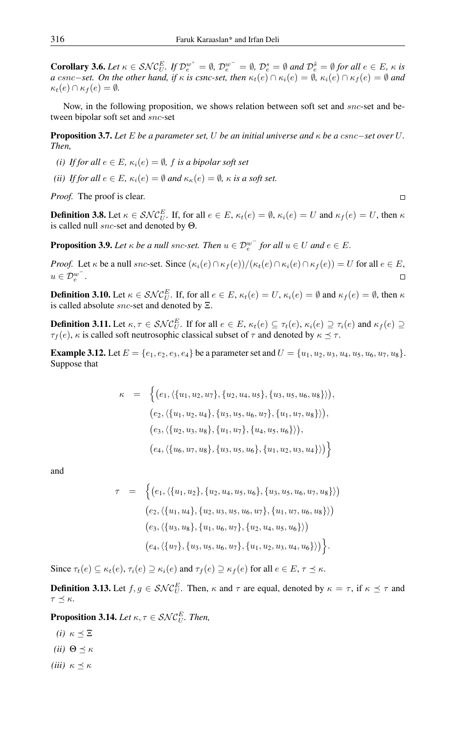<span id="page-5-1"></span>**Corollary 3.6.** Let  $\kappa \in \mathcal{SNC}_{U}^{E}$ , If  $\mathcal{D}_{e}^{w^{+}} = \emptyset$ ,  $\mathcal{D}_{e}^{w^{-}} = \emptyset$ ,  $\mathcal{D}_{e}^{s} = \emptyset$  and  $\mathcal{D}_{e}^{\hat{s}} = \emptyset$  for all  $e \in E$ ,  $\kappa$  is *a* csnc−set. On the other hand, if  $\kappa$  is csnc-set, then  $\kappa_t(e) \cap \kappa_i(e) = \emptyset$ ,  $\kappa_i(e) \cap \kappa_f(e) = \emptyset$  and  $\kappa_t(e) \cap \kappa_f(e) = \emptyset.$ 

Now, in the following proposition, we shows relation between soft set and snc-set and between bipolar soft set and snc-set

Proposition 3.7. *Let* E *be a parameter set,* U *be an initial universe and* κ *be a* csnc−*set over* U*. Then,*

- *(i) If for all*  $e \in E$ *,*  $\kappa_i(e) = \emptyset$ *, f is a bipolar soft set*
- *(ii) If for all*  $e \in E$ *,*  $\kappa_i(e) = \emptyset$  *and*  $\kappa_{\kappa}(e) = \emptyset$ *,*  $\kappa$  *is a soft set.*

*Proof.* The proof is clear.

**Definition 3.8.** Let  $\kappa \in \mathcal{SNC}_{U}^{E}$ . If, for all  $e \in E$ ,  $\kappa_t(e) = \emptyset$ ,  $\kappa_i(e) = U$  and  $\kappa_f(e) = U$ , then  $\kappa$ is called null snc-set and denoted by Θ.

**Proposition 3.9.** *Let*  $\kappa$  *be a null snc-set. Then*  $u \in \mathcal{D}_e^{w^-}$  *for all*  $u \in U$  *and*  $e \in E$ *.* 

*Proof.* Let  $\kappa$  be a null snc-set. Since  $(\kappa_i(e) \cap \kappa_f(e)) / (\kappa_t(e) \cap \kappa_i(e) \cap \kappa_f(e)) = U$  for all  $e \in E$ ,  $\eta \in \mathcal{D}^{w^-}$  $u \in {\mathcal{D}_e^{w}}^-$ .

**Definition 3.10.** Let  $\kappa \in \mathcal{SNC}_{U}^{E}$ . If, for all  $e \in E$ ,  $\kappa_{t}(e) = U$ ,  $\kappa_{i}(e) = \emptyset$  and  $\kappa_{f}(e) = \emptyset$ , then  $\kappa$ is called absolute snc-set and denoted by Ξ.

<span id="page-5-0"></span>**Definition 3.11.** Let  $\kappa, \tau \in \mathcal{SNC}_U^E$ . If for all  $e \in E$ ,  $\kappa_t(e) \subseteq \tau_t(e)$ ,  $\kappa_i(e) \supseteq \tau_i(e)$  and  $\kappa_f(e) \supseteq \tau_i(e)$  $\tau_f(e)$ ,  $\kappa$  is called soft neutrosophic classical subset of  $\tau$  and denoted by  $\kappa \preceq \tau$ .

**Example 3.12.** Let  $E = \{e_1, e_2, e_3, e_4\}$  be a parameter set and  $U = \{u_1, u_2, u_3, u_4, u_5, u_6, u_7, u_8\}$ . Suppose that

$$
\kappa = \left\{ \left( e_1, \left\{ \{u_1, u_2, u_7\}, \{u_2, u_4, u_5\}, \{u_3, u_5, u_6, u_8\} \right\} \right), \right. \\ \left. \left( e_2, \left\{ \{u_1, u_2, u_4\}, \{u_3, u_5, u_6, u_7\}, \{u_1, u_7, u_8\} \right\} \right), \right. \\ \left. \left( e_3, \left\{ \{u_2, u_3, u_8\}, \{u_1, u_7\}, \{u_4, u_5, u_6\} \right\} \right), \right. \\ \left. \left( e_4, \left\{ \{u_6, u_7, u_8\}, \{u_3, u_5, u_6\}, \{u_1, u_2, u_3, u_4\} \right\} \right) \right\}
$$

and

$$
\tau = \left\{ \left( e_1, \langle \{u_1, u_2\}, \{u_2, u_4, u_5, u_6\}, \{u_3, u_5, u_6, u_7, u_8\} \rangle \right) \right\}
$$
  
\n
$$
\left( e_2, \langle \{u_1, u_4\}, \{u_2, u_3, u_5, u_6, u_7\}, \{u_1, u_7, u_6, u_8\} \rangle \right)
$$
  
\n
$$
\left( e_3, \langle \{u_3, u_8\}, \{u_1, u_6, u_7\}, \{u_2, u_4, u_5, u_6\} \rangle \right)
$$
  
\n
$$
\left( e_4, \langle \{u_7\}, \{u_3, u_5, u_6, u_7\}, \{u_1, u_2, u_3, u_4, u_6\} \rangle \right) \right\}.
$$

Since  $\tau_t(e) \subseteq \kappa_t(e), \tau_i(e) \supseteq \kappa_i(e)$  and  $\tau_f(e) \supseteq \kappa_f(e)$  for all  $e \in E, \tau \preceq \kappa$ .

**Definition 3.13.** Let  $f, g \in SNC_U^E$ . Then,  $\kappa$  and  $\tau$  are equal, denoted by  $\kappa = \tau$ , if  $\kappa \leq \tau$  and  $\tau \preceq \kappa$ .

**Proposition 3.14.** Let  $\kappa, \tau \in \mathcal{SNC}_U^E$ . Then,

*(i)*  $\kappa \prec \Xi$ *(ii)*  $\Theta \preceq \kappa$ *(iii)*  $\kappa \preceq \kappa$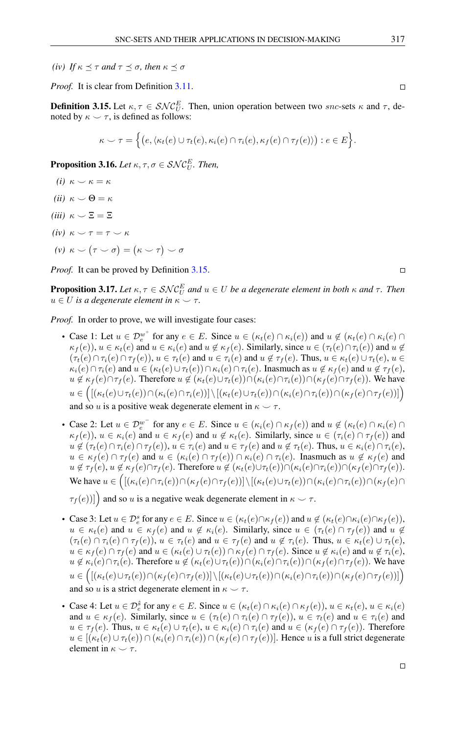*(iv) If*  $\kappa \leq \tau$  *and*  $\tau \leq \sigma$ *, then*  $\kappa \leq \sigma$ 

*Proof.* It is clear from Definition [3.11.](#page-5-0)

<span id="page-6-0"></span>**Definition 3.15.** Let  $\kappa, \tau \in SNC_U^E$ . Then, union operation between two snc-sets  $\kappa$  and  $\tau$ , denoted by  $\kappa \sim \tau$ , is defined as follows:

$$
\kappa \smile \tau = \Big\{ \big(e, \langle \kappa_t(e) \cup \tau_t(e), \kappa_i(e) \cap \tau_i(e), \kappa_f(e) \cap \tau_f(e) \rangle \big) : e \in E \Big\}.
$$

**Proposition 3.16.** *Let*  $\kappa, \tau, \sigma \in \mathcal{SNC}_U^E$ *. Then,* 

- *(i)*  $\kappa \smile \kappa = \kappa$
- *(ii)*  $\kappa \smile \Theta = \kappa$
- *(iii)*  $\kappa \smile \Xi = \Xi$
- *(iv)*  $\kappa \sim \tau = \tau \sim \kappa$
- $(\nu)$   $\kappa \smile (\tau \smile \sigma) = (\kappa \smile \tau) \smile \sigma$

*Proof.* It can be proved by Definition [3.15.](#page-6-0)

<span id="page-6-1"></span>**Proposition 3.17.** Let  $\kappa, \tau \in \mathcal{SNC}_U^E$  and  $u \in U$  be a degenerate element in both  $\kappa$  and  $\tau$ . Then  $u \in U$  *is a degenerate element in*  $\kappa \sim \tau$ *.* 

*Proof.* In order to prove, we will investigate four cases:

- Case 1: Let  $u \in \mathcal{D}_e^{w^+}$  for any  $e \in E$ . Since  $u \in (\kappa_t(e) \cap \kappa_i(e))$  and  $u \notin (\kappa_t(e) \cap \kappa_i(e) \cap \kappa_i(e))$  $\kappa_f(e)$ ,  $u \in \kappa_t(e)$  and  $u \in \kappa_i(e)$  and  $u \notin \kappa_f(e)$ . Similarly, since  $u \in (\tau_t(e) \cap \tau_i(e))$  and  $u \notin$  $(\tau_t(e) \cap \tau_i(e) \cap \tau_f(e)), u \in \tau_t(e)$  and  $u \in \tau_i(e)$  and  $u \notin \tau_f(e)$ . Thus,  $u \in \kappa_t(e) \cup \tau_t(e), u \in \tau_f(e)$  $\kappa_i(e) \cap \tau_i(e)$  and  $u \in (\kappa_t(e) \cup \tau_t(e)) \cap \kappa_i(e) \cap \tau_i(e)$ . Inasmuch as  $u \notin \kappa_f(e)$  and  $u \notin \tau_f(e)$ ,  $u \notin \kappa_f(e) \cap \tau_f(e)$ . Therefore  $u \notin (\kappa_t(e) \cup \tau_t(e)) \cap (\kappa_i(e) \cap \tau_i(e)) \cap (\kappa_f(e) \cap \tau_f(e))$ . We have  $u\in \Big(\big[(\kappa_t(e)\cup \tau_t(e))\cap (\kappa_i(e)\cap \tau_i(e))\big]\setminus\big[(\kappa_t(e)\cup \tau_t(e))\cap (\kappa_i(e)\cap \tau_i(e))\cap (\kappa_f(e)\cap \tau_f(e))\big]\Big)$ and so u is a positive weak degenerate element in  $\kappa \sim \tau$ .
- Case 2: Let  $u \in D_e^{w^-}$  for any  $e \in E$ . Since  $u \in (\kappa_i(e) \cap \kappa_f(e))$  and  $u \notin (\kappa_i(e) \cap \kappa_i(e) \cap \kappa_i(e))$  $\kappa_f(e)$ ,  $u \in \kappa_i(e)$  and  $u \in \kappa_f(e)$  and  $u \notin \kappa_t(e)$ . Similarly, since  $u \in (\tau_i(e) \cap \tau_f(e))$  and  $u \notin (\tau_t(e) \cap \tau_i(e) \cap \tau_f(e)), u \in \tau_i(e)$  and  $u \in \tau_f(e)$  and  $u \notin \tau_t(e)$ . Thus,  $u \in \kappa_i(e) \cap \tau_i(e)$ ,  $u \in \kappa_f(e) \cap \tau_f(e)$  and  $u \in (\kappa_i(e) \cap \tau_f(e)) \cap \kappa_i(e) \cap \tau_i(e)$ . Inasmuch as  $u \notin \kappa_f(e)$  and  $u \notin \tau_f(e)$ ,  $u \notin \kappa_f(e) \cap \tau_f(e)$ . Therefore  $u \notin (\kappa_t(e) \cup \tau_t(e)) \cap (\kappa_i(e) \cap \tau_i(e)) \cap (\kappa_f(e) \cap \tau_f(e))$ . We have  $u \in \Big(\big[\kappa_i(e) \cap \tau_i(e)\big) \cap \big(\kappa_f(e) \cap \tau_f(e)\big)\big] \setminus \big[\kappa_t(e) \cup \tau_t(e)\big) \cap \big(\kappa_i(e) \cap \tau_i(e)\big) \cap \big(\kappa_f(e) \cap \tau_f(e)\big)$

 $\tau_f(e))$ ] and so u is a negative weak degenerate element in  $\kappa \sim \tau$ .

- Case 3: Let  $u \in \mathcal{D}_e^s$  for any  $e \in E$ . Since  $u \in (\kappa_t(e) \cap \kappa_f(e))$  and  $u \notin (\kappa_t(e) \cap \kappa_i(e) \cap \kappa_f(e))$ ,  $u \in \kappa_t(e)$  and  $u \in \kappa_f(e)$  and  $u \notin \kappa_i(e)$ . Similarly, since  $u \in (\tau_t(e) \cap \tau_f(e))$  and  $u \notin$  $(\tau_t(e) \cap \tau_i(e) \cap \tau_f(e)), u \in \tau_t(e)$  and  $u \in \tau_f(e)$  and  $u \notin \tau_i(e)$ . Thus,  $u \in \kappa_t(e) \cup \tau_t(e)$ ,  $u \in \kappa_f(e) \cap \tau_f(e)$  and  $u \in (\kappa_t(e) \cup \tau_t(e)) \cap \kappa_f(e) \cap \tau_f(e)$ . Since  $u \notin \kappa_i(e)$  and  $u \notin \tau_i(e)$ ,  $u \notin \kappa_i(e) \cap \tau_i(e)$ . Therefore  $u \notin (\kappa_i(e) \cup \tau_i(e)) \cap (\kappa_i(e) \cap \tau_i(e)) \cap (\kappa_i(e) \cap \tau_i(e))$ . We have  $u \in \Big( [(\kappa_t(e) \cup \tau_t(e)) \cap (\kappa_f(e) \cap \tau_f(e))] \setminus [(\kappa_t(e) \cup \tau_t(e)) \cap (\kappa_i(e) \cap \tau_i(e)) \cap (\kappa_f(e) \cap \tau_f(e))] \Big)$ and so u is a strict degenerate element in  $\kappa \sim \tau$ .
- Case 4: Let  $u \in \mathcal{D}_e^s$  for any  $e \in E$ . Since  $u \in (\kappa_t(e) \cap \kappa_t(e) \cap \kappa_f(e)), u \in \kappa_t(e), u \in \kappa_i(e)$ and  $u \in \kappa_f(e)$ . Similarly, since  $u \in (\tau_t(e) \cap \tau_i(e) \cap \tau_f(e))$ ,  $u \in \tau_t(e)$  and  $u \in \tau_i(e)$  and  $u \in \tau_f(e)$ . Thus,  $u \in \kappa_t(e) \cup \tau_t(e)$ ,  $u \in \kappa_t(e) \cap \tau_i(e)$  and  $u \in (\kappa_f(e) \cap \tau_f(e))$ . Therefore  $u \in [(\kappa_t(e) \cup \tau_t(e)) \cap (\kappa_i(e) \cap \tau_i(e)) \cap (\kappa_t(e) \cap \tau_t(e))]$ . Hence u is a full strict degenerate element in  $\kappa \sim \tau$ .

 $\Box$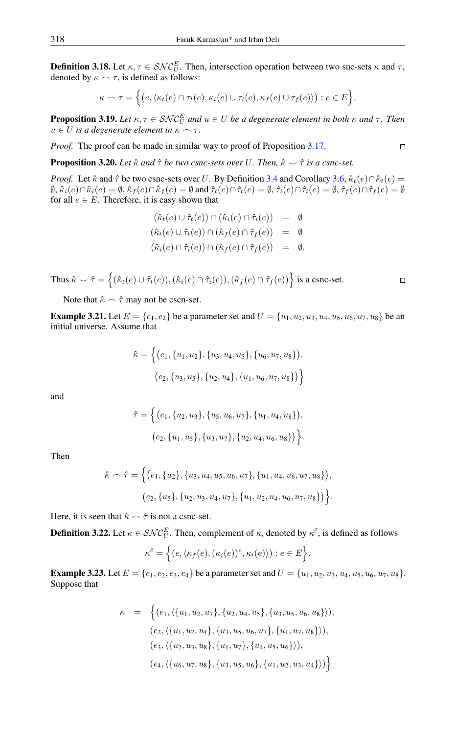<span id="page-7-0"></span>**Definition 3.18.** Let  $\kappa, \tau \in \mathcal{SNC}_{U}^{E}$ . Then, intersection operation between two snc-sets  $\kappa$  and  $\tau$ , denoted by  $\kappa \frown \tau$ , is defined as follows:

$$
\kappa \frown \tau = \Big\{ \big(e, \langle \kappa_t(e) \cap \tau_t(e), \kappa_i(e) \cup \tau_i(e), \kappa_f(e) \cup \tau_f(e) \rangle \big) : e \in E \Big\}.
$$

**Proposition 3.19.** Let  $\kappa, \tau \in \mathcal{SNC}_U^E$  and  $u \in U$  be a degenerate element in both  $\kappa$  and  $\tau$ . Then  $u \in U$  *is a degenerate element in*  $\kappa \sim \tau$ *.* 

*Proof.* The proof can be made in similar way to proof of Proposition [3.17.](#page-6-1)

**Proposition 3.20.** Let  $\hat{\kappa}$  and  $\hat{\tau}$  be two csnc-sets over U. Then,  $\hat{\kappa} \sim \hat{\tau}$  is a csnc-set.

*Proof.* Let  $\hat{\kappa}$  and  $\hat{\tau}$  be two csnc-sets over U. By Definition [3.4](#page-4-1) and Corollary [3.6,](#page-5-1)  $\hat{\kappa}_t(e) \cap \hat{\kappa}_t(e)$  $\emptyset$ ,  $\hat{\kappa}_i(e) \cap \hat{\kappa}_i(e) = \emptyset$ ,  $\hat{\kappa}_f(e) \cap \hat{\kappa}_f(e) = \emptyset$  and  $\hat{\tau}_t(e) \cap \hat{\tau}_t(e) = \emptyset$ ,  $\hat{\tau}_i(e) \cap \hat{\tau}_i(e) = \emptyset$ ,  $\hat{\tau}_f(e) \cap \hat{\tau}_f(e) = \emptyset$ for all  $e \in E$ . Therefore, it is easy shown that

$$
(\hat{\kappa}_t(e) \cup \hat{\tau}_t(e)) \cap (\hat{\kappa}_i(e) \cap \hat{\tau}_i(e)) = \emptyset
$$
  
\n
$$
(\hat{\kappa}_t(e) \cup \hat{\tau}_t(e)) \cap (\hat{\kappa}_f(e) \cap \hat{\tau}_f(e)) = \emptyset
$$
  
\n
$$
(\hat{\kappa}_i(e) \cap \hat{\tau}_i(e)) \cap (\hat{\kappa}_f(e) \cap \hat{\tau}_f(e)) = \emptyset
$$

Thus  $\hat{\kappa} \setminus \hat{\tau} = \left\{ (\hat{\kappa}_t(e) \cup \hat{\tau}_t(e)),(\hat{\kappa}_i(e) \cap \hat{\tau}_i(e)),(\hat{\kappa}_f(e) \cap \hat{\tau}_f(e)) \right\}$  is a csnc-set.

Note that  $\hat{\kappa} \frown \hat{\tau}$  may not be cscn-set.

**Example 3.21.** Let  $E = \{e_1, e_2\}$  be a parameter set and  $U = \{u_1, u_2, u_3, u_4, u_5, u_6, u_7, u_8\}$  be an initial universe. Assume that

$$
\hat{\kappa} = \left\{ (e_1, \{u_1, u_2\}, \{u_3, u_4, u_5\}, \{u_6, u_7, u_8\}),
$$

$$
(e_2, \{u_3, u_5\}, \{u_2, u_4\}, \{u_1, u_6, u_7, u_8\}) \right\}
$$

and

$$
\hat{\tau} = \Big\{ (e_1, \{u_2, u_3\}, \{u_5, u_6, u_7\}, \{u_1, u_4, u_8\}),
$$
  

$$
(e_2, \{u_1, u_5\}, \{u_3, u_7\}, \{u_2, u_4, u_6, u_8\}) \Big\}.
$$

Then

$$
\hat{\kappa} \frown \hat{\tau} = \Big\{ (e_1, \{u_2\}, \{u_3, u_4, u_5, u_6, u_7\}, \{u_1, u_4, u_6, u_7, u_8\}),
$$

$$
(e_2, \{u_5\}, \{u_2, u_3, u_4, u_7\}, \{u_1, u_2, u_4, u_6, u_7, u_8\}) \Big\}.
$$

Here, it is seen that  $\hat{\kappa} \frown \hat{\tau}$  is not a csnc-set.

<span id="page-7-1"></span>**Definition 3.22.** Let  $\kappa \in \mathcal{SNC}_{U}^{E}$ . Then, complement of  $\kappa$ , denoted by  $\kappa^{\tilde{c}}$ , is defined as follows

$$
\kappa^{\tilde{c}} = \Big\{ (e, \langle \kappa_f(e), (\kappa_i(e))^c, \kappa_t(e) \rangle) : e \in E \Big\}.
$$

**Example 3.23.** Let  $E = \{e_1, e_2, e_3, e_4\}$  be a parameter set and  $U = \{u_1, u_2, u_3, u_4, u_5, u_6, u_7, u_8\}$ . Suppose that

$$
\kappa = \left\{ (e_1, \langle \{u_1, u_2, u_7\}, \{u_2, u_4, u_5\}, \{u_3, u_5, u_6, u_8\} \rangle),
$$
  
\n
$$
(e_2, \langle \{u_1, u_2, u_4\}, \{u_3, u_5, u_6, u_7\}, \{u_1, u_7, u_8\} \rangle),
$$
  
\n
$$
(e_3, \langle \{u_2, u_3, u_8\}, \{u_1, u_7\}, \{u_4, u_5, u_6\} \rangle),
$$
  
\n
$$
(e_4, \langle \{u_6, u_7, u_8\}, \{u_3, u_5, u_6\}, \{u_1, u_2, u_3, u_4\} \rangle) \right\}
$$

$$
\Box
$$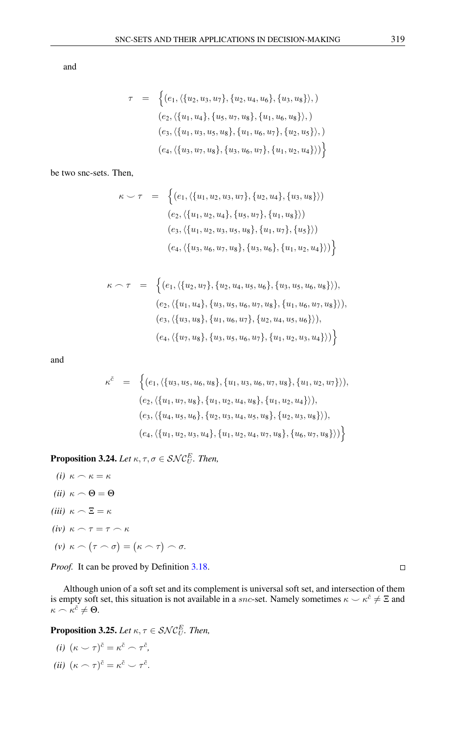and

$$
\tau = \left\{ (e_1, \langle \{u_2, u_3, u_7\}, \{u_2, u_4, u_6\}, \{u_3, u_8\} \rangle, )\right\}(e_2, \langle \{u_1, u_4\}, \{u_5, u_7, u_8\}, \{u_1, u_6, u_8\} \rangle, )\newline (e_3, \langle \{u_1, u_3, u_5, u_8\}, \{u_1, u_6, u_7\}, \{u_2, u_5\} \rangle, )\newline (e_4, \langle \{u_3, u_7, u_8\}, \{u_3, u_6, u_7\}, \{u_1, u_2, u_4\} \rangle) \right\}
$$

be two snc-sets. Then,

$$
\kappa \smile \tau = \left\{ (e_1, \langle \{u_1, u_2, u_3, u_7\}, \{u_2, u_4\}, \{u_3, u_8\} \rangle) \right\}
$$
  
\n
$$
(e_2, \langle \{u_1, u_2, u_4\}, \{u_5, u_7\}, \{u_1, u_8\} \rangle) \right\}
$$
  
\n
$$
(e_3, \langle \{u_1, u_2, u_3, u_5, u_8\}, \{u_1, u_7\}, \{u_5\} \rangle) \right\}
$$
  
\n
$$
(e_4, \langle \{u_3, u_6, u_7, u_8\}, \{u_3, u_6\}, \{u_1, u_2, u_4\} \rangle) \right\}
$$

$$
\kappa \cap \tau = \left\{ (e_1, \langle \{u_2, u_7\}, \{u_2, u_4, u_5, u_6\}, \{u_3, u_5, u_6, u_8\} \rangle),
$$
  
\n
$$
(e_2, \langle \{u_1, u_4\}, \{u_3, u_5, u_6, u_7, u_8\}, \{u_1, u_6, u_7, u_8\} \rangle),
$$
  
\n
$$
(e_3, \langle \{u_3, u_8\}, \{u_1, u_6, u_7\}, \{u_2, u_4, u_5, u_6\} \rangle),
$$
  
\n
$$
(e_4, \langle \{u_7, u_8\}, \{u_3, u_5, u_6, u_7\}, \{u_1, u_2, u_3, u_4\} \rangle) \right\}
$$

and

$$
\kappa^{\tilde{c}} = \left\{ (e_1, \langle \{u_3, u_5, u_6, u_8\}, \{u_1, u_3, u_6, u_7, u_8\}, \{u_1, u_2, u_7\} \rangle),
$$
  
\n
$$
(e_2, \langle \{u_1, u_7, u_8\}, \{u_1, u_2, u_4, u_8\}, \{u_1, u_2, u_4\} \rangle),
$$
  
\n
$$
(e_3, \langle \{u_4, u_5, u_6\}, \{u_2, u_3, u_4, u_5, u_8\}, \{u_2, u_3, u_8\} \rangle),
$$
  
\n
$$
(e_4, \langle \{u_1, u_2, u_3, u_4\}, \{u_1, u_2, u_4, u_7, u_8\}, \{u_6, u_7, u_8\} \rangle) \right\}
$$

**Proposition 3.24.** *Let*  $\kappa, \tau, \sigma \in \mathcal{SNC}_U^E$ *. Then,* 

- *(i)*  $\kappa \frown \kappa = \kappa$ *(ii)*  $\kappa \frown \Theta = \Theta$ *(iii)*  $\kappa \frown \Xi = \kappa$ *(iv)*  $\kappa \frown \tau = \tau \frown \kappa$
- $(\nu) \; \kappa \frown (\tau \frown \sigma) = (\kappa \frown \tau) \frown \sigma.$

*Proof.* It can be proved by Definition [3.18.](#page-7-0)

Although union of a soft set and its complement is universal soft set, and intersection of them is empty soft set, this situation is not available in a *snc*-set. Namely sometimes  $\kappa \sim \kappa^{\tilde{c}} \neq \Xi$  and  $\kappa \sim \kappa^{\tilde{c}} \neq \Theta.$ 

**Proposition 3.25.** Let  $\kappa, \tau \in \mathcal{SNC}_U^E$ . Then,

(i) 
$$
(\kappa \smile \tau)^{\tilde{c}} = \kappa^{\tilde{c}} \frown \tau^{\tilde{c}},
$$
  
(ii)  $(\kappa \frown \tau)^{\tilde{c}} = \kappa^{\tilde{c}} \smile \tau^{\tilde{c}}.$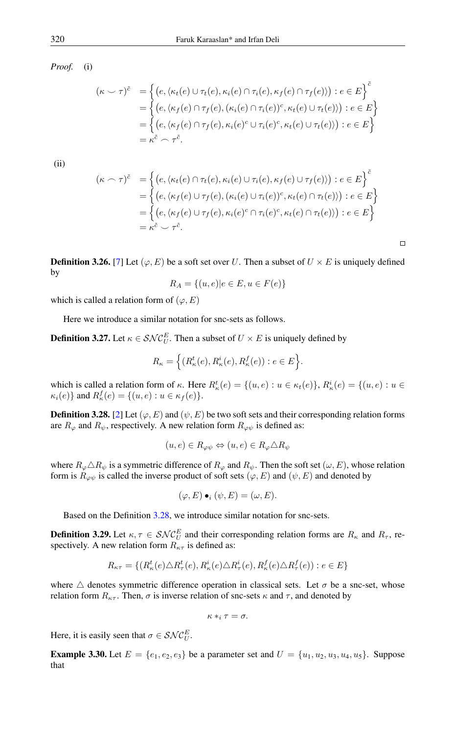*Proof.* (i)

$$
(\kappa \smile \tau)^{\tilde{c}} = \left\{ (e, \langle \kappa_t(e) \cup \tau_t(e), \kappa_i(e) \cap \tau_i(e), \kappa_f(e) \cap \tau_f(e) \rangle) : e \in E \right\}^{\tilde{c}}
$$
  
= 
$$
\left\{ (e, \langle \kappa_f(e) \cap \tau_f(e), (\kappa_i(e) \cap \tau_i(e))^c, \kappa_t(e) \cup \tau_t(e) \rangle) : e \in E \right\}
$$
  
= 
$$
\left\{ (e, \langle \kappa_f(e) \cap \tau_f(e), \kappa_i(e)^c \cup \tau_i(e)^c, \kappa_t(e) \cup \tau_t(e) \rangle) : e \in E \right\}
$$
  
= 
$$
\kappa^{\tilde{c}} \frown \tau^{\tilde{c}}.
$$

(ii)

$$
(\kappa \cap \tau)^{\tilde{c}} = \left\{ (e, \langle \kappa_t(e) \cap \tau_t(e), \kappa_i(e) \cup \tau_i(e), \kappa_f(e) \cup \tau_f(e) \rangle) : e \in E \right\}^{\tilde{c}}
$$
  
= 
$$
\left\{ (e, \langle \kappa_f(e) \cup \tau_f(e), (\kappa_i(e) \cup \tau_i(e))^c, \kappa_t(e) \cap \tau_t(e) \rangle) : e \in E \right\}
$$
  
= 
$$
\left\{ (e, \langle \kappa_f(e) \cup \tau_f(e), \kappa_i(e)^c \cap \tau_i(e)^c, \kappa_t(e) \cap \tau_t(e) \rangle) : e \in E \right\}
$$
  
= 
$$
\kappa^{\tilde{c}} \setminus \tau^{\tilde{c}}.
$$

**Definition 3.26.** [\[7\]](#page-15-6) Let  $(\varphi, E)$  be a soft set over U. Then a subset of  $U \times E$  is uniquely defined by

$$
R_A = \{(u, e) | e \in E, u \in F(e)\}
$$

which is called a relation form of  $(\varphi, E)$ 

Here we introduce a similar notation for snc-sets as follows.

**Definition 3.27.** Let  $\kappa \in \mathcal{SNC}_{U}^{E}$ . Then a subset of  $U \times E$  is uniquely defined by

$$
R_{\kappa} = \Big\{ (R_{\kappa}^t(e), R_{\kappa}^i(e), R_{\kappa}^f(e)) : e \in E \Big\}.
$$

which is called a relation form of  $\kappa$ . Here  $R^t_{\kappa}(e) = \{(u, e) : u \in \kappa_t(e)\}$ ,  $R^i_{\kappa}(e) = \{(u, e) : u \in \kappa_t(e)\}$  $\kappa_i(e)$ } and  $R_{\kappa}^f(e) = \{(u, e) : u \in \kappa_f(e)\}.$ 

<span id="page-9-0"></span>**Definition 3.28.** [\[2\]](#page-15-25) Let  $(\varphi, E)$  and  $(\psi, E)$  be two soft sets and their corresponding relation forms are  $R_{\varphi}$  and  $R_{\psi}$ , respectively. A new relation form  $R_{\varphi\psi}$  is defined as:

$$
(u,e) \in R_{\varphi\psi} \Leftrightarrow (u,e) \in R_{\varphi} \triangle R_{\psi}
$$

where  $R_{\varphi} \triangle R_{\psi}$  is a symmetric difference of  $R_{\varphi}$  and  $R_{\psi}$ . Then the soft set  $(\omega, E)$ , whose relation form is  $R_{\varphi\psi}$  is called the inverse product of soft sets  $(\varphi, E)$  and  $(\psi, E)$  and denoted by

$$
(\varphi, E) \bullet_i (\psi, E) = (\omega, E).
$$

Based on the Definition [3.28,](#page-9-0) we introduce similar notation for snc-sets.

**Definition 3.29.** Let  $\kappa, \tau \in \mathcal{SNC}_U^E$  and their corresponding relation forms are  $R_{\kappa}$  and  $R_{\tau}$ , respectively. A new relation form  $R_{\kappa\tau}$  is defined as:

$$
R_{\kappa\tau} = \{ (R^t_{\kappa}(e) \triangle R^t_{\tau}(e), R^i_{\kappa}(e) \triangle R^i_{\tau}(e), R^f_{\kappa}(e) \triangle R^f_{\tau}(e)) : e \in E \}
$$

where  $\triangle$  denotes symmetric difference operation in classical sets. Let  $\sigma$  be a snc-set, whose relation form  $R_{\kappa\tau}$ . Then,  $\sigma$  is inverse relation of snc-sets  $\kappa$  and  $\tau$ , and denoted by

$$
\kappa *_i \tau = \sigma.
$$

Here, it is easily seen that  $\sigma \in \mathcal{SNC}_U^E$ .

**Example 3.30.** Let  $E = \{e_1, e_2, e_3\}$  be a parameter set and  $U = \{u_1, u_2, u_3, u_4, u_5\}$ . Suppose that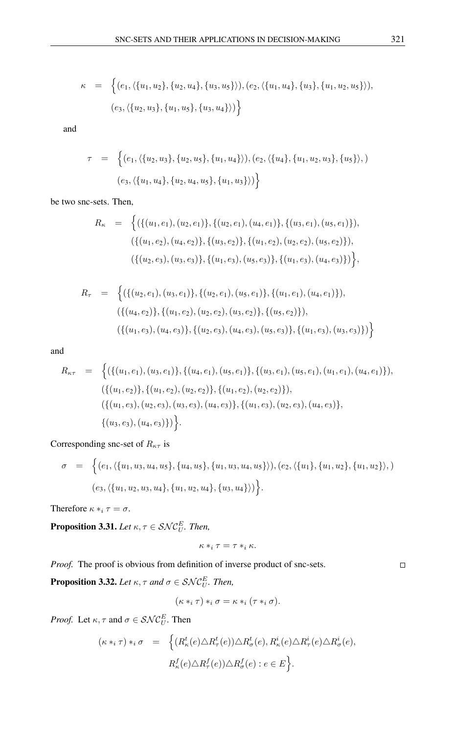$$
\kappa = \left\{ (e_1, \langle \{u_1, u_2\}, \{u_2, u_4\}, \{u_3, u_5\} \rangle), (e_2, \langle \{u_1, u_4\}, \{u_3\}, \{u_1, u_2, u_5\} \rangle),
$$
  

$$
(e_3, \langle \{u_2, u_3\}, \{u_1, u_5\}, \{u_3, u_4\} \rangle) \right\}
$$

and

$$
\tau = \left\{ (e_1, \langle \{u_2, u_3\}, \{u_2, u_5\}, \{u_1, u_4\} \rangle), (e_2, \langle \{u_4\}, \{u_1, u_2, u_3\}, \{u_5\} \rangle, )\right\}
$$

$$
(e_3, \langle \{u_1, u_4\}, \{u_2, u_4, u_5\}, \{u_1, u_3\} \rangle) \right\}
$$

be two snc-sets. Then,

$$
R_{\kappa} = \left\{ (\{(u_1, e_1), (u_2, e_1)\}, \{(u_2, e_1), (u_4, e_1)\}, \{(u_3, e_1), (u_5, e_1)\}),
$$

$$
(\{(u_1, e_2), (u_4, e_2)\}, \{(u_3, e_2)\}, \{(u_1, e_2), (u_2, e_2), (u_5, e_2)\}),
$$

$$
(\{(u_2, e_3), (u_3, e_3)\}, \{(u_1, e_3), (u_5, e_3)\}, \{(u_1, e_3), (u_4, e_3)\}) \right\},
$$

$$
R_{\tau} = \left\{ (\{(u_2, e_1), (u_3, e_1)\}, \{(u_2, e_1), (u_5, e_1)\}, \{(u_1, e_1), (u_4, e_1)\}),\right\} (\{(u_4, e_2)\}, \{(u_1, e_2), (u_2, e_2), (u_3, e_2)\}, \{(u_5, e_2)\}), (\{(u_1, e_3), (u_4, e_3)\}, \{(u_2, e_3), (u_4, e_3), (u_5, e_3)\}, \{(u_1, e_3), (u_3, e_3)\}) \right\}
$$

and

$$
R_{\kappa\tau} = \left\{ (\{(u_1, e_1), (u_3, e_1)\}, \{(u_4, e_1), (u_5, e_1)\}, \{(u_3, e_1), (u_5, e_1), (u_1, e_1), (u_4, e_1)\}),
$$

$$
(\{(u_1, e_2)\}, \{(u_1, e_2), (u_2, e_2)\}, \{(u_1, e_2), (u_2, e_2)\}),
$$

$$
(\{(u_1, e_3), (u_2, e_3), (u_3, e_3), (u_4, e_3)\}, \{(u_1, e_3), (u_2, e_3), (u_4, e_3)\},
$$

$$
\{(u_3, e_3), (u_4, e_3)\}\right\}.
$$

Corresponding snc-set of  $R_{\kappa\tau}$  is

$$
\sigma = \left\{ (e_1, \langle \{u_1, u_3, u_4, u_5\}, \{u_4, u_5\}, \{u_1, u_3, u_4, u_5\} \rangle), (e_2, \langle \{u_1\}, \{u_1, u_2\}, \{u_1, u_2\} \rangle, )\right\}
$$
  

$$
(e_3, \langle \{u_1, u_2, u_3, u_4\}, \{u_1, u_2, u_4\}, \{u_3, u_4\} \rangle) \right\}.
$$

Therefore  $\kappa *_i \tau = \sigma$ .

**Proposition 3.31.** Let  $\kappa, \tau \in \mathcal{SNC}_U^E$ . Then,

$$
\kappa *_i \tau = \tau *_i \kappa.
$$

*Proof.* The proof is obvious from definition of inverse product of snc-sets.

**Proposition 3.32.** Let  $\kappa$ ,  $\tau$  and  $\sigma \in \mathcal{SNC}_{U}^{E}$ . Then,

$$
(\kappa *_i \tau) *_i \sigma = \kappa *_i (\tau *_i \sigma).
$$

*Proof.* Let  $\kappa, \tau$  and  $\sigma \in \mathcal{SNC}_U^E$ . Then

$$
(\kappa *_i \tau) *_i \sigma = \left\{ (R^t_{\kappa}(e) \triangle R^t_{\tau}(e)) \triangle R^t_{\sigma}(e), R^i_{\kappa}(e) \triangle R^i_{\tau}(e) \triangle R^i_{\sigma}(e), R^f_{\kappa}(e) \triangle R^f_{\tau}(e)) \triangle R^f_{\sigma}(e) : e \in E \right\}.
$$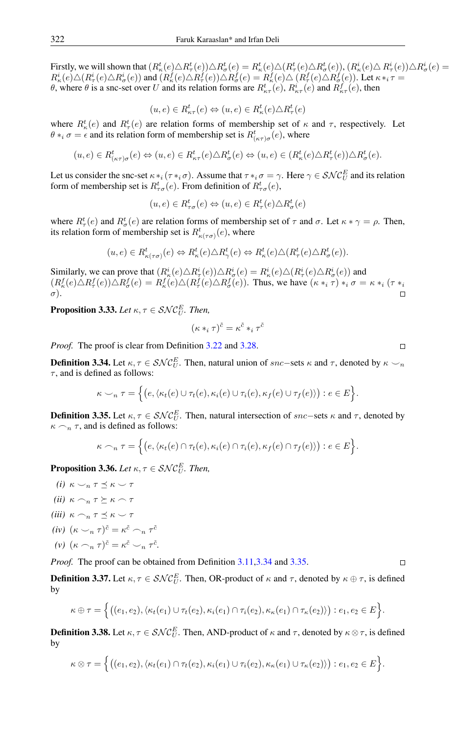Firstly, we will shown that  $(R_\kappa^t(e)\triangle R_\kappa^t(e))\triangle R_\kappa^t(e)\triangle (R_\kappa^t(e)\triangle R_\kappa^t(e)), (R_\kappa^i(e)\triangle R_\tau^i(e))\triangle R_\sigma^i(e) =$  $R_{\kappa}^{i}(e) \triangle (R_{\tau}^{i}(e) \triangle R_{\sigma}^{i}(e))$  and  $(R_{\kappa}^{f}(e) \triangle R_{\tau}^{f}(e)) \triangle R_{\sigma}^{f}(e) = R_{\kappa}^{f}(e) \triangle (R_{\tau}^{f}(e) \triangle R_{\sigma}^{f}(e))$ . Let  $\kappa *_{i} \tau =$ θ, where θ is a snc-set over U and its relation forms are  $R_{\kappa\tau}^t(e)$ ,  $R_{\kappa\tau}^i(e)$  and  $R_{\kappa\tau}^f(e)$ , then

$$
(u, e) \in R^t_{\kappa \tau}(e) \Leftrightarrow (u, e) \in R^t_{\kappa}(e) \triangle R^t_{\tau}(e)
$$

where  $R_{\kappa}^t(e)$  and  $R_{\tau}^t(e)$  are relation forms of membership set of  $\kappa$  and  $\tau$ , respectively. Let  $\theta *_{i} \sigma = \epsilon$  and its relation form of membership set is  $R_{(\kappa \tau)\sigma}^{t}(e)$ , where

$$
(u,e) \in R^t_{(\kappa\tau)\sigma}(e) \Leftrightarrow (u,e) \in R^t_{\kappa\tau}(e) \triangle R^t_{\sigma}(e) \Leftrightarrow (u,e) \in (R^t_{\kappa}(e) \triangle R^t_{\tau}(e)) \triangle R^t_{\sigma}(e).
$$

Let us consider the snc-set  $\kappa *_{i} (\tau *_{i} \sigma)$ . Assume that  $\tau *_{i} \sigma = \gamma$ . Here  $\gamma \in SNC_{U}^{E}$  and its relation form of membership set is  $R_{\tau\sigma}^t(e)$ . From definition of  $R_{\tau\sigma}^t(e)$ ,

$$
(u, e) \in R^t_{\tau\sigma}(e) \Leftrightarrow (u, e) \in R^t_{\tau}(e) \triangle R^t_{\sigma}(e)
$$

where  $R_{\tau}^{t}(e)$  and  $R_{\sigma}^{t}(e)$  are relation forms of membership set of  $\tau$  and  $\sigma$ . Let  $\kappa * \gamma = \rho$ . Then, its relation form of membership set is  $R^t_{\kappa(\tau\sigma)}(e)$ , where

$$
(u,e) \in R^t_{\kappa(\tau\sigma)}(e) \Leftrightarrow R^t_{\kappa}(e) \triangle R^t_{\gamma}(e) \Leftrightarrow R^t_{\kappa}(e) \triangle (R^t_{\tau}(e) \triangle R^t_{\sigma}(e)).
$$

Similarly, we can prove that  $(R^i_{\kappa}(e) \triangle R^i_{\tau}(e)) \triangle R^i_{\sigma}(e) = R^i_{\kappa}(e) \triangle (R^i_{\tau}(e) \triangle R^i_{\sigma}(e))$  and  $(R^f_\kappa(e)\triangle R^f_\tau(e))\triangle R^f_\sigma(e) = R^f_\kappa(e)\triangle (R^f_\tau(e)\triangle R^f_\sigma(e))$ . Thus, we have  $(\kappa *_i \tau)_*_{i\sigma} = \kappa *_i (\tau *_i \tau)_*$  $\sigma$ ).

**Proposition 3.33.** Let  $\kappa, \tau \in \mathcal{SNC}_U^E$ . Then,

$$
(\kappa *_i \tau)^{\tilde{c}} = \kappa^{\tilde{c}} *_i \tau^{\tilde{c}}
$$

*Proof.* The proof is clear from Definition [3.22](#page-7-1) and [3.28.](#page-9-0)

<span id="page-11-0"></span>**Definition 3.34.** Let  $\kappa, \tau \in \mathcal{SNC}_U^E$ . Then, natural union of  $src$  sets  $\kappa$  and  $\tau$ , denoted by  $\kappa \smile_n$  $\tau$ , and is defined as follows:

$$
\kappa \smile_n \tau = \Big\{ \big(e, \langle \kappa_t(e) \cup \tau_t(e), \kappa_i(e) \cup \tau_i(e), \kappa_f(e) \cup \tau_f(e) \rangle \big) : e \in E \Big\}.
$$

<span id="page-11-1"></span>**Definition 3.35.** Let  $\kappa, \tau \in \mathcal{SNC}_U^E$ . Then, natural intersection of snc–sets  $\kappa$  and  $\tau$ , denoted by  $\kappa \frown_n \tau$ , and is defined as follows:

$$
\kappa \cap_n \tau = \Big\{ \big(e, \langle \kappa_t(e) \cap \tau_t(e), \kappa_t(e) \cap \tau_t(e), \kappa_f(e) \cap \tau_f(e) \rangle \big) : e \in E \Big\}.
$$

**Proposition 3.36.** Let  $\kappa, \tau \in \mathcal{SNC}_U^E$ . Then,

*(i)*  $\kappa \searrow_n \tau \preceq \kappa \searrow \tau$ *(ii)*  $\kappa \frown_n \tau \succeq \kappa \frown \tau$ *(iii)*  $\kappa \cap n \tau \preceq \kappa \smile \tau$ *(iv)*  $(\kappa \searrow_n \tau)^{\tilde{c}} = \kappa^{\tilde{c}} \frown_n \tau^{\tilde{c}}$ (*v*)  $(\kappa \cap_n \tau)^{\tilde{c}} = \kappa^{\tilde{c}} \setminus_n \tau^{\tilde{c}}$ .

*Proof.* The proof can be obtained from Definition [3.11](#page-5-0)[,3.34](#page-11-0) and [3.35.](#page-11-1)

<span id="page-11-2"></span>**Definition 3.37.** Let  $\kappa, \tau \in \mathcal{SNC}_U^E$ . Then, OR-product of  $\kappa$  and  $\tau$ , denoted by  $\kappa \oplus \tau$ , is defined by

$$
\kappa \oplus \tau = \Big\{ \big((e_1, e_2), \langle \kappa_t(e_1) \cup \tau_t(e_2), \kappa_i(e_1) \cap \tau_i(e_2), \kappa_{\kappa}(e_1) \cap \tau_{\kappa}(e_2) \rangle \big) : e_1, e_2 \in E \Big\}.
$$

<span id="page-11-3"></span>**Definition 3.38.** Let  $\kappa, \tau \in \mathcal{SNC}_U^E$ . Then, AND-product of  $\kappa$  and  $\tau$ , denoted by  $\kappa \otimes \tau$ , is defined by

$$
\kappa \otimes \tau = \Big\{ \big((e_1,e_2),\langle \kappa_t(e_1) \cap \tau_t(e_2), \kappa_i(e_1) \cup \tau_i(e_2), \kappa_{\kappa}(e_1) \cup \tau_{\kappa}(e_2) \rangle \big) : e_1,e_2 \in E \Big\}.
$$

$$
\qquad \qquad \Box
$$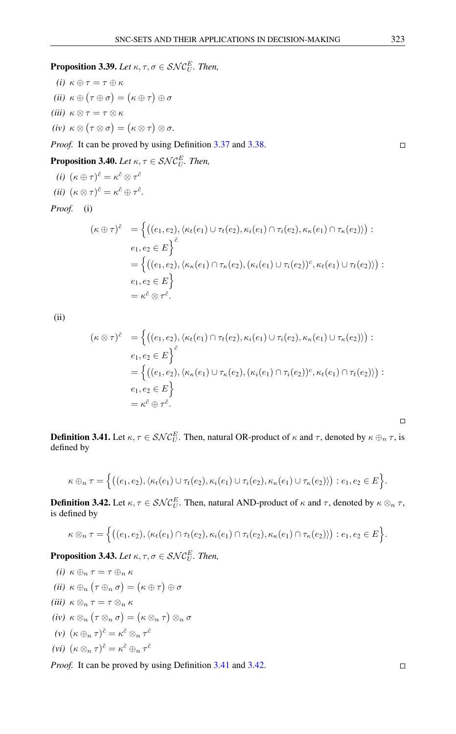$\Box$ 

**Proposition 3.39.** Let  $\kappa, \tau, \sigma \in \mathcal{SNC}_{U}^{E}$ . Then,

$$
(i) \ \kappa \oplus \tau = \tau \oplus \kappa
$$
  
\n
$$
(ii) \ \kappa \oplus (\tau \oplus \sigma) = (\kappa \oplus \tau) \oplus \sigma
$$
  
\n
$$
(iii) \ \kappa \otimes \tau = \tau \otimes \kappa
$$
  
\n
$$
(iv) \ \kappa \otimes (\tau \otimes \sigma) = (\kappa \otimes \tau) \otimes \sigma.
$$

*Proof.* It can be proved by using Definition [3.37](#page-11-2) and [3.38.](#page-11-3)

**Proposition 3.40.** *Let*  $\kappa, \tau \in \mathcal{SNC}_U^E$ *. Then,* 

(*i*) 
$$
(\kappa \oplus \tau)^{\tilde{c}} = \kappa^{\tilde{c}} \otimes \tau^{\tilde{c}}
$$
  
(*ii*)  $(\kappa \otimes \tau)^{\tilde{c}} = \kappa^{\tilde{c}} \oplus \tau^{\tilde{c}}$ .

*Proof.* (i)

$$
(\kappa \oplus \tau)^{\tilde{c}} = \left\{ ((e_1, e_2), \langle \kappa_t(e_1) \cup \tau_t(e_2), \kappa_t(e_1) \cap \tau_i(e_2), \kappa_{\kappa}(e_1) \cap \tau_{\kappa}(e_2) \rangle) : \\ e_1, e_2 \in E \right\}^{\tilde{c}} \\ = \left\{ ((e_1, e_2), \langle \kappa_{\kappa}(e_1) \cap \tau_{\kappa}(e_2), (\kappa_t(e_1) \cup \tau_t(e_2))^c, \kappa_t(e_1) \cup \tau_t(e_2) \rangle) : \\ e_1, e_2 \in E \right\} \\ = \kappa^{\tilde{c}} \otimes \tau^{\tilde{c}}.
$$

(ii)

$$
(\kappa \otimes \tau)^{\tilde{c}} = \left\{ \left( (e_1, e_2), \langle \kappa_t(e_1) \cap \tau_t(e_2), \kappa_i(e_1) \cup \tau_i(e_2), \kappa_{\kappa}(e_1) \cup \tau_{\kappa}(e_2) \rangle \right) : \\ e_1, e_2 \in E \right\}^{\tilde{c}} \\ = \left\{ \left( (e_1, e_2), \langle \kappa_{\kappa}(e_1) \cup \tau_{\kappa}(e_2), (\kappa_i(e_1) \cap \tau_i(e_2))^c, \kappa_t(e_1) \cap \tau_t(e_2) \rangle \right) : \\ e_1, e_2 \in E \right\} \\ = \kappa^{\tilde{c}} \oplus \tau^{\tilde{c}}.
$$

<span id="page-12-0"></span>**Definition 3.41.** Let  $\kappa, \tau \in \mathcal{SNC}_U^E$ . Then, natural OR-product of  $\kappa$  and  $\tau$ , denoted by  $\kappa \oplus_n \tau$ , is defined by

$$
\kappa\oplus_n\tau=\Big\{\big((e_1,e_2),\langle\kappa_t(e_1)\cup\tau_t(e_2),\kappa_i(e_1)\cup\tau_i(e_2),\kappa_\kappa(e_1)\cup\tau_\kappa(e_2)\rangle\big):e_1,e_2\in E\Big\}.
$$

<span id="page-12-1"></span>**Definition 3.42.** Let  $\kappa, \tau \in \mathcal{SNC}_{U}^{E}$ . Then, natural AND-product of  $\kappa$  and  $\tau$ , denoted by  $\kappa \otimes_{n} \tau$ , is defined by

$$
\kappa \otimes_n \tau = \Big\{ \big((e_1, e_2), \langle \kappa_t(e_1) \cap \tau_t(e_2), \kappa_i(e_1) \cap \tau_i(e_2), \kappa_{\kappa}(e_1) \cap \tau_{\kappa}(e_2) \rangle \big) : e_1, e_2 \in E \Big\}.
$$

**Proposition 3.43.** *Let*  $\kappa, \tau, \sigma \in \mathcal{SNC}_{U}^{E}$ *. Then,* 

- *(i)*  $\kappa \oplus_n \tau = \tau \oplus_n \kappa$  $(ii) \; \kappa \oplus_n (\tau \oplus_n \sigma) = (\kappa \oplus \tau) \oplus \sigma$ *(iii)*  $\kappa \otimes_n \tau = \tau \otimes_n \kappa$  $(iv) \kappa \otimes_n (\tau \otimes_n \sigma) = (\kappa \otimes_n \tau) \otimes_n \sigma$ (*v*)  $(\kappa \oplus_n \tau)^{\tilde{c}} = \kappa^{\tilde{c}} \otimes_n \tau^{\tilde{c}}$
- (vi)  $(\kappa \otimes_n \tau)^{\tilde{c}} = \kappa^{\tilde{c}} \oplus_n \tau^{\tilde{c}}$

*Proof.* It can be proved by using Definition [3.41](#page-12-0) and [3.42.](#page-12-1)

 $\Box$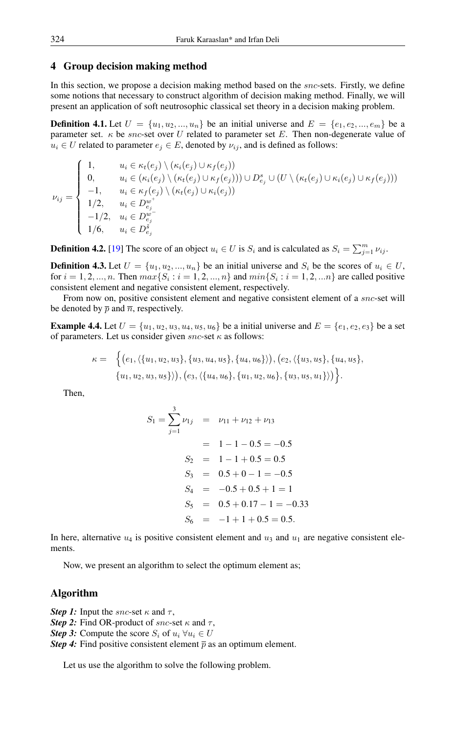#### 4 Group decision making method

In this section, we propose a decision making method based on the *snc*-sets. Firstly, we define some notions that necessary to construct algorithm of decision making method. Finally, we will present an application of soft neutrosophic classical set theory in a decision making problem.

**Definition 4.1.** Let  $U = \{u_1, u_2, ..., u_n\}$  be an initial universe and  $E = \{e_1, e_2, ..., e_m\}$  be a parameter set.  $\kappa$  be *snc*-set over U related to parameter set E. Then non-degenerate value of  $u_i \in U$  related to parameter  $e_j \in E$ , denoted by  $\nu_{ij}$ , and is defined as follows:

$$
\nu_{ij} = \begin{cases}\n1, & u_i \in \kappa_t(e_j) \setminus (\kappa_i(e_j) \cup \kappa_f(e_j)) \\
0, & u_i \in (\kappa_i(e_j) \setminus (\kappa_t(e_j) \cup \kappa_f(e_j)))) \cup D_{e_j}^s \cup (U \setminus (\kappa_t(e_j) \cup \kappa_i(e_j) \cup \kappa_f(e_j))) \\
-1, & u_i \in \kappa_f(e_j) \setminus (\kappa_t(e_j) \cup \kappa_i(e_j)) \\
1/2, & u_i \in D_{e_j}^{w^+} \\
-1/2, & u_i \in D_{e_j}^{w^-} \\
1/6, & u_i \in D_{e_j}^{\tilde{s}}\n\end{cases}
$$

**Definition 4.2.** [\[19\]](#page-15-14) The score of an object  $u_i \in U$  is  $S_i$  and is calculated as  $S_i = \sum_{j=1}^m \nu_{ij}$ .

**Definition 4.3.** Let  $U = \{u_1, u_2, ..., u_n\}$  be an initial universe and  $S_i$  be the scores of  $u_i \in U$ , for  $i = 1, 2, ..., n$ . Then  $max\{S_i : i = 1, 2, ..., n\}$  and  $min\{S_i : i = 1, 2, ..., n\}$  are called positive consistent element and negative consistent element, respectively.

From now on, positive consistent element and negative consistent element of a *snc*-set will be denoted by  $\bar{p}$  and  $\bar{n}$ , respectively.

**Example 4.4.** Let  $U = \{u_1, u_2, u_3, u_4, u_5, u_6\}$  be a initial universe and  $E = \{e_1, e_2, e_3\}$  be a set of parameters. Let us consider given  $snc$ -set  $\kappa$  as follows:

$$
\kappa = \Big\{ \big(e_1, \langle \{u_1, u_2, u_3\}, \{u_3, u_4, u_5\}, \{u_4, u_6\} \rangle \big), \big(e_2, \langle \{u_3, u_5\}, \{u_4, u_5\}, \{u_1, u_2, u_3, u_5\} \rangle \big), \big(e_3, \langle \{u_4, u_6\}, \{u_1, u_2, u_6\}, \{u_3, u_5, u_1\} \rangle \big) \Big\}.
$$

Then,

$$
S_1 = \sum_{j=1}^{3} \nu_{1j} = \nu_{11} + \nu_{12} + \nu_{13}
$$
  
= 1 - 1 - 0.5 = -0.5  

$$
S_2 = 1 - 1 + 0.5 = 0.5
$$

$$
S_3 = 0.5 + 0 - 1 = -0.5
$$

$$
S_4 = -0.5 + 0.5 + 1 = 1
$$

$$
S_5 = 0.5 + 0.17 - 1 = -0.33
$$

$$
S_6 = -1 + 1 + 0.5 = 0.5.
$$

In here, alternative  $u_4$  is positive consistent element and  $u_3$  and  $u_1$  are negative consistent elements.

Now, we present an algorithm to select the optimum element as;

#### Algorithm

*Step 1:* Input the *snc*-set  $\kappa$  and  $\tau$ ,

*Step 2:* Find OR-product of snc-set  $\kappa$  and  $\tau$ ,

*Step 3:* Compute the score  $S_i$  of  $u_i \,\forall u_i \in U$ 

*Step 4:* Find positive consistent element  $\bar{p}$  as an optimum element.

Let us use the algorithm to solve the following problem.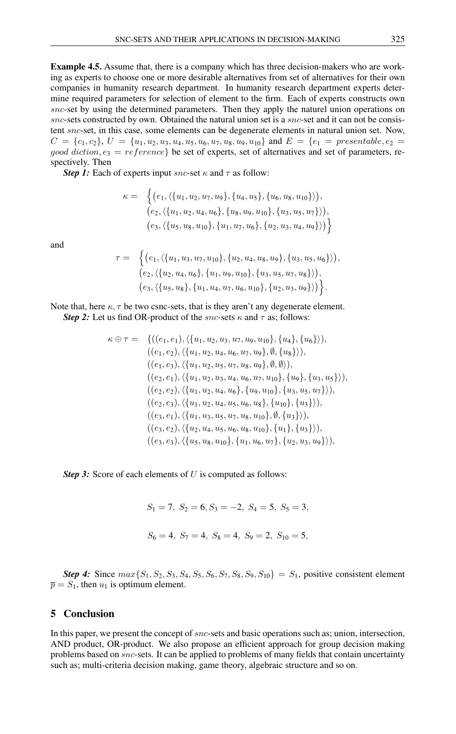Example 4.5. Assume that, there is a company which has three decision-makers who are working as experts to choose one or more desirable alternatives from set of alternatives for their own companies in humanity research department. In humanity research department experts determine required parameters for selection of element to the firm. Each of experts constructs own snc-set by using the determined parameters. Then they apply the naturel union operations on snc-sets constructed by own. Obtained the natural union set is a snc-set and it can not be consistent snc-set, in this case, some elements can be degenerate elements in natural union set. Now,  $C = \{c_1, c_2\}, U = \{u_1, u_2, u_3, u_4, u_5, u_6, u_7, u_8, u_9, u_{10}\}$  and  $E = \{e_1 = \text{presentable}, e_2 = \text{const}$ good diction,  $e_3 = reference$  be set of experts, set of alternatives and set of parameters, respectively. Then

*Step 1:* Each of experts input *snc*-set  $\kappa$  and  $\tau$  as follow:

$$
\kappa = \left\{ \big(e_1, \langle \{u_1, u_2, u_7, u_9\}, \{u_4, u_5\}, \{u_6, u_8, u_{10}\} \rangle \big), \\ \big(e_2, \langle \{u_1, u_2, u_4, u_6\}, \{u_8, u_9, u_{10}\}, \{u_3, u_5, u_7\} \rangle \big), \\ \big(e_3, \langle \{u_5, u_8, u_{10}\}, \{u_1, u_7, u_6\}, \{u_2, u_3, u_4, u_9\} \rangle \big) \right\}
$$

and

$$
\tau = \left\{ \big(e_1, \langle \{u_1, u_3, u_7, u_{10}\}, \{u_2, u_4, u_8, u_9\}, \{u_3, u_5, u_6\} \rangle \big), \big(e_2, \langle \{u_2, u_4, u_6\}, \{u_1, u_9, u_{10}\}, \{u_3, u_5, u_7, u_8\} \rangle \big), \big(e_3, \langle \{u_5, u_8\}, \{u_1, u_4, u_7, u_6, u_{10}\}, \{u_2, u_3, u_9\} \rangle \big) \right\}.
$$

Note that, here  $\kappa$ ,  $\tau$  be two csnc-sets, that is they aren't any degenerate element. *Step 2:* Let us find OR-product of the *snc*-sets  $\kappa$  and  $\tau$  as; follows:

$$
\kappa \oplus \tau = \{((e_1, e_1), \langle \{u_1, u_2, u_3, u_7, u_9, u_{10}\}, \{u_4\}, \{u_6\}\rangle),((e_1, e_2), \langle \{u_1, u_2, u_4, u_6, u_7, u_9\}, \emptyset, \{u_8\}\rangle),((e_1, e_3), \langle \{u_1, u_2, u_5, u_7, u_8, u_9\}, \emptyset, \emptyset)\rangle),((e_2, e_1), \langle \{u_1, u_2, u_3, u_4, u_6, u_7, u_{10}\}, \{u_9\}, \{u_3, u_5\}\rangle),((e_2, e_2), \langle \{u_1, u_2, u_4, u_6\}, \{u_9, u_{10}\}, \{u_3, u_5, u_7\}\rangle),((e_2, e_3), \langle \{u_1, u_2, u_4, u_5, u_6, u_8\}, \{u_{10}\}, \{u_3\}\rangle),((e_3, e_1), \langle \{u_1, u_3, u_5, u_7, u_8, u_{10}\}, \emptyset, \{u_3\}\rangle),((e_3, e_2), \langle \{u_2, u_4, u_5, u_6, u_8, u_{10}\}, \{u_1\}, \{u_3\}\rangle),((e_3, e_3), \langle \{u_5, u_8, u_{10}\}, \{u_1, u_6, u_7\}, \{u_2, u_3, u_9\}\rangle),
$$

*Step 3:* Score of each elements of U is computed as follows:

$$
S_1 = 7
$$
,  $S_2 = 6$ ,  $S_3 = -2$ ,  $S_4 = 5$ ,  $S_5 = 3$ ,  
 $S_6 = 4$ ,  $S_7 = 4$ ,  $S_8 = 4$ ,  $S_9 = 2$ ,  $S_{10} = 5$ ,

**Step 4:** Since  $max\{S_1, S_2, S_3, S_4, S_5, S_6, S_7, S_8, S_9, S_{10}\} = S_1$ , positive consistent element  $\overline{p} = S_1$ , then  $u_1$  is optimum element.

#### 5 Conclusion

In this paper, we present the concept of *snc*-sets and basic operations such as; union, intersection, AND product, OR-product. We also propose an efficient approach for group decision making problems based on snc-sets. It can be applied to problems of many fields that contain uncertainty such as; multi-criteria decision making, game theory, algebraic structure and so on.